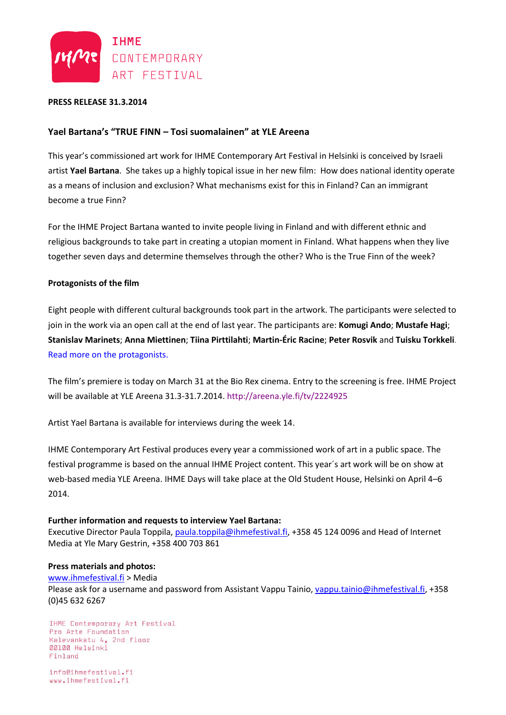

## **PRESS RELEASE 31.3.2014**

# **Yael Bartana's "TRUE FINN – Tosi suomalainen" at YLE Areena**

This year's commissioned art work for IHME Contemporary Art Festival in Helsinki is conceived by Israeli artist **Yael Bartana**. She takes up a highly topical issue in her new film: How does national identity operate as a means of inclusion and exclusion? What mechanisms exist for this in Finland? Can an immigrant become a true Finn?

For the IHME Project Bartana wanted to invite people living in Finland and with different ethnic and religious backgrounds to take part in creating a utopian moment in Finland. What happens when they live together seven days and determine themselves through the other? Who is the True Finn of the week?

## **Protagonists of the film**

Eight people with different cultural backgrounds took part in the artwork. The participants were selected to join in the work via an open call at the end of last year. The participants are: **Komugi Ando**; **Mustafe Hagi**; **Stanislav Marinets**; **Anna Miettinen**; **Tiina Pirttilahti**; **Martin-Éric Racine**; **Peter Rosvik** and **Tuisku Torkkeli**. [Read more on the protagonists.](http://www.ihmefestival.fi/en/programme/ihme-project-2014/)

The film's premiere is today on March 31 at the Bio Rex cinema. Entry to the screening is free. IHME Project will be available at YLE Areena 31.3-31.7.2014. <http://areena.yle.fi/tv/2224925>

Artist Yael Bartana is available for interviews during the week 14.

IHME Contemporary Art Festival produces every year a commissioned work of art in a public space. The festival programme is based on the annual IHME Project content. This year´s art work will be on show at web-based media YLE Areena. IHME Days will take place at the Old Student House, Helsinki on April 4–6 2014.

### **Further information and requests to interview Yael Bartana:**

Executive Director Paula Toppila, [paula.toppila@ihmefestival.fi,](mailto:paula.toppila@ihmefestival.fi) +358 45 124 0096 and Head of Internet Media at Yle Mary Gestrin, +358 400 703 861

### **Press materials and photos:**

[www.ihmefestival.fi](http://www.ihmefestival.fi/) > Media

Please ask for a username and password from Assistant Vappu Tainio, [vappu.tainio@ihmefestival.fi,](mailto:vappu.tainio@ihmefestival.fi) +358 (0)45 632 6267

IHME Contemporary Art Festival Pro Arte Foundation Kalevankatu 4, 2nd floor 00100 Helsinki Finland

info@ihmefestival.fi www.ihmefestival.fi